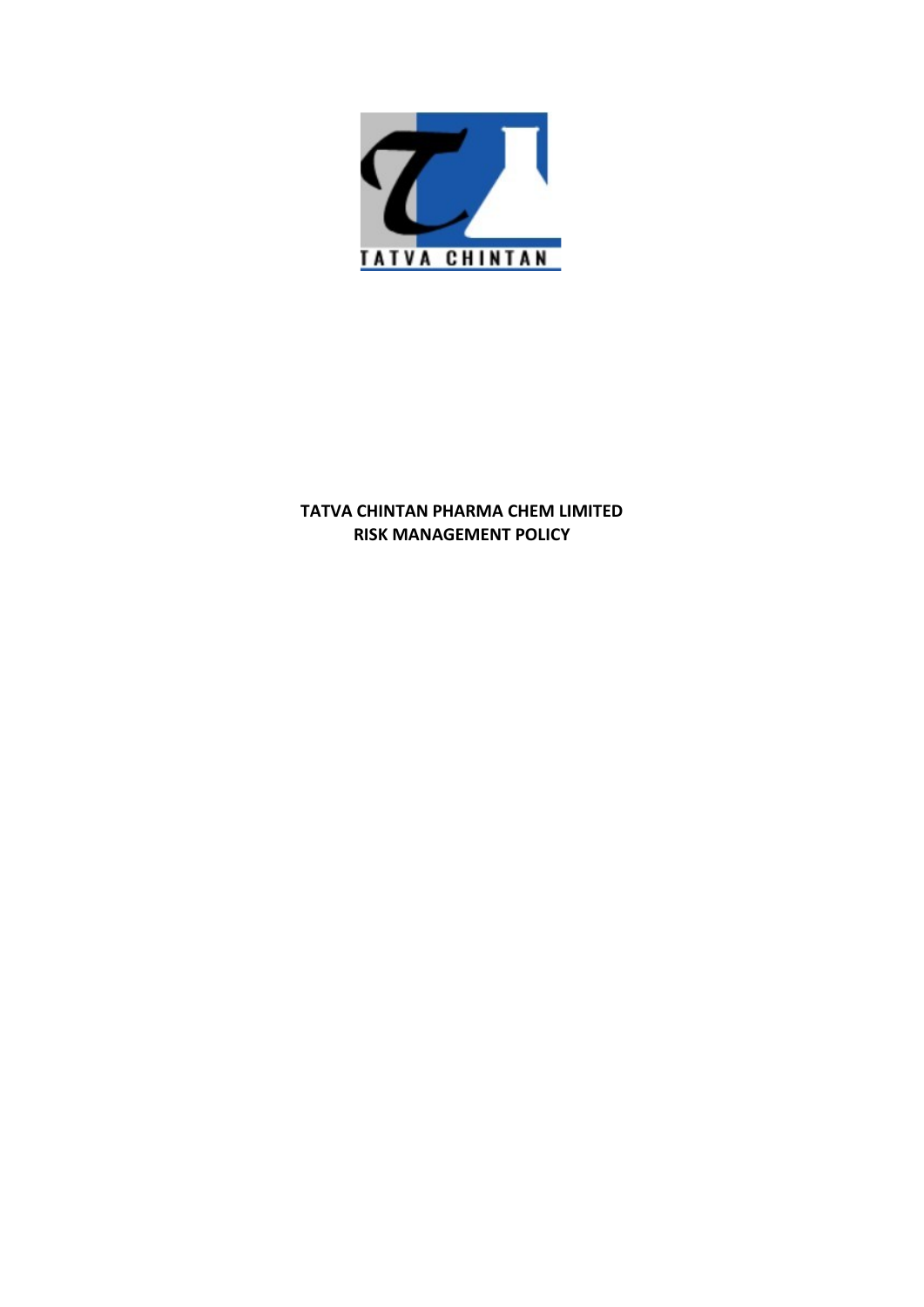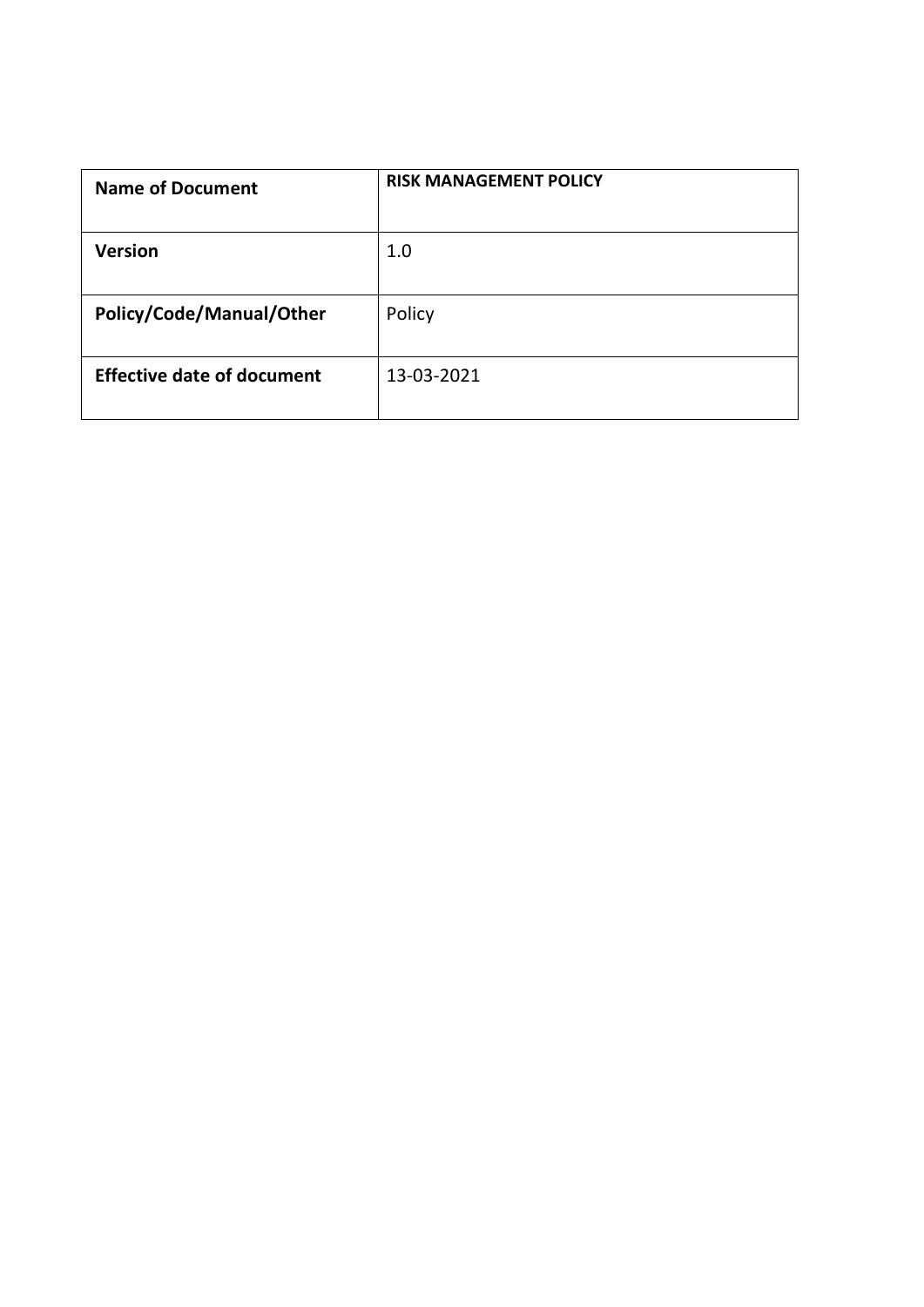|                                                                | <b>RISK MANAGEMENT POLICY</b> |  |
|----------------------------------------------------------------|-------------------------------|--|
|                                                                | $1.0\,$                       |  |
| <b>Name of Document</b><br>Version<br>Policy/Code/Manual/Other | Policy                        |  |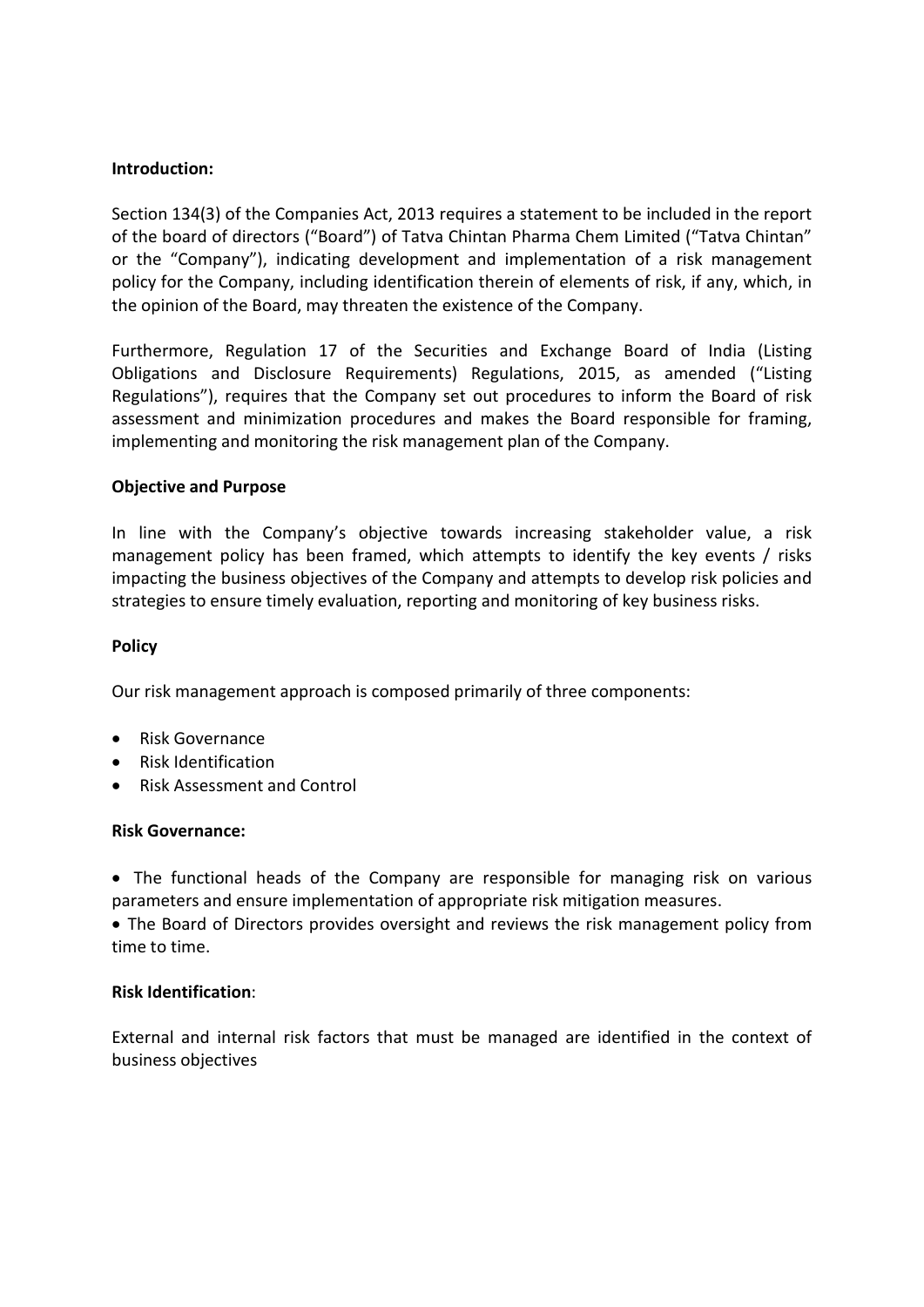# Introduction:

Introduction:<br>Section 134(3) of the Companies Act, 2013 requires a statement to be included in the report<br>of the board of directors ("Board") of Tatva Chintan Pharma Chem Limited ("Tatva Chintan"<br>or the "Company"), indicat **Introduction:**<br>Section 134(3) of the Companies Act, 2013 requires a statement to be included in the report<br>of the board of directors ("Board") of Tatva Chintan Pharma Chem Limited ("Tatva Chintan"<br>or the "Company"), indic **Introduction:**<br>Section 134(3) of the Companies Act, 2013 requires a statement to be included in the report<br>of the board of directors ("Board") of Tatva Chintan Pharma Chem Limited ("Tatva Chintan"<br>policy for the Company") **Introduction:**<br>Section 134(3) of the Companies Act, 2013 requires a statement to be included in the report<br>of the board of directors ("Board") of Tatva Chintan Pharma Chem Limited ("Tatva Chintan"<br>or the "Company"), indic **Introduction:**<br>Section 134(3) of the Companies Act, 2013 requires a statement to be included in the report<br>of the board of directors ("Board") of Tatva Chintan Pharma Chem Limited ("Tatva Chintan"<br>or the "Company"), indic Introduction:<br>Section 134(3) of the Companies Act, 2013 requires a statement to be included in the report<br>of the board of directors ("Board") of Tatva Chintan Pharma Chem Limited ("Tatva Chintan"<br>or the "Company"), indicat Introduction:<br>
Section 134(3) of the Companies Act, 2013 requires a statement to be included in the report<br>
of the board of directors ("Board") of Tatva Chintan Pharma Chem Limited ("Tatva Chintan"<br>
or the "Company"), indi Introduction:<br>Section 134(3) of the Companies Act, 2013 requires a statement to be included in the report<br>of the board of directors ("Board") of Tatva Chintan Pharma Chem Limited ("Tatva Chintan"<br>or the "Company"), indicat **Introduction:**<br>Section 134(3) of the Companies Act, 2013 requires a statement to be included in the report<br>of the board of directors ("Board") of Tatva Chintan Pharma Chem Limited ("Tatva Chintan"<br>or the "Company"), indic **Introduction:**<br>Section 134(3) of the Companies Act, 2013 requires a statement to be included in the report<br>of the board of directors ("Board") of Tatva Chintan Pharma Chem Limited ("Tatva Chintan"<br>policy for the Company") **Introduction:**<br> **Section 134(3) of the Companies Act, 2013 requires a statement to be included in<br>
Section 134(3) of the Company<sup>o</sup>, indicating development and implementation of a risk material<br>
or the "Company"), indicat** Introduction:<br>
Section 134(3) of the Companies Act, 2013 requires a statement to be included in the report<br>
of the board of directors ("Board") of Tatva Chintan Pharma Chem Limited ("Tatva Chintan"<br>
or the "Company"), indi Introduction:<br>Section 134(3) of the Companies Act, 2013 requires a statement to be included in the report<br>of the board of directors ("Board") of Tatva Chintan Pharma Chem Limited ("Tatva Chintan"<br>or the "Company"), indicat Section 134(3) of the Companies Act, 2013 requires a statement to be included in the report<br>of the board of directors ("Board") of Tatva Chintan Pharma Chem Limited ("Tatva Chintan"<br>or the "Company"), indicating developmen

Section 1343) of the Companies Act, 2013 requires a statement to be included in the report<br>of the board of directors ("Board") of Tatva Chintan Pharma Chem Limited ("Tatva Chintan"<br>or the "Company"), indicating development the opinion of the Board, may threaten the existence of the Company.<br>
Furthermore, Regulation 17 of the Securities and Exchange Board of India (Listing Obligations and Disclosure Requirements) Regulations, 2015, as amended

Dollgations and Disclosure Requirements) Regulations, 2015, as an Regulations, 2015, as an Regulations, 2015, as an Regulations, 2015, as an Regulations, and Disclosure to inform the Compary set out procedures to inform an Regulations ), requires that the Company set out procedures to morffit the board of risk<br>assessment and minimization procedures and makes the Board responsible for framing<br>implementing and monitoring the risk management pl Implementing and monitoring the risk management plain of the Company.<br> **Chjective and Purpose**<br>
In line with the Company's objective towards increasing stakeholder value, a risk<br>
management policy has been framed, which at In line with the Company's objective towards increasing stakeholder value, a risk management policy has been framed, which attempts to develop risk policies and strategies to ensure timely evaluation, reporting and monitor management noncy has been ranked, which realings to determinating the business objectives of the Company and attempts to developtive<br>strategies to ensure timely evaluation, reporting and monitoring of key bus<br>**Policy**<br>Our

## Policy

- 
- 
- 

Strategies to ensure thriely evaluation, reporting and monitoring or key Policy<br>
Policy<br>
Our risk management approach is composed primarily of three compon<br>
• Risk Governance<br>
• Risk Movernance:<br>
• The functional heads of Our risk management approach is composed primarily of three components:<br>
• Risk Governance<br>
• Risk dentification<br>
• Risk Assessment and Control<br>
• The functional heads of the Company are responsible for managing<br>
• The fun

Follow<br>
Our risk management approach is composed primarily of three components:<br>
• Risk Governance<br>
• Risk Assessment and Control<br>
Risk Governance:<br>
• The functional heads of the Company are responsible for managing risk o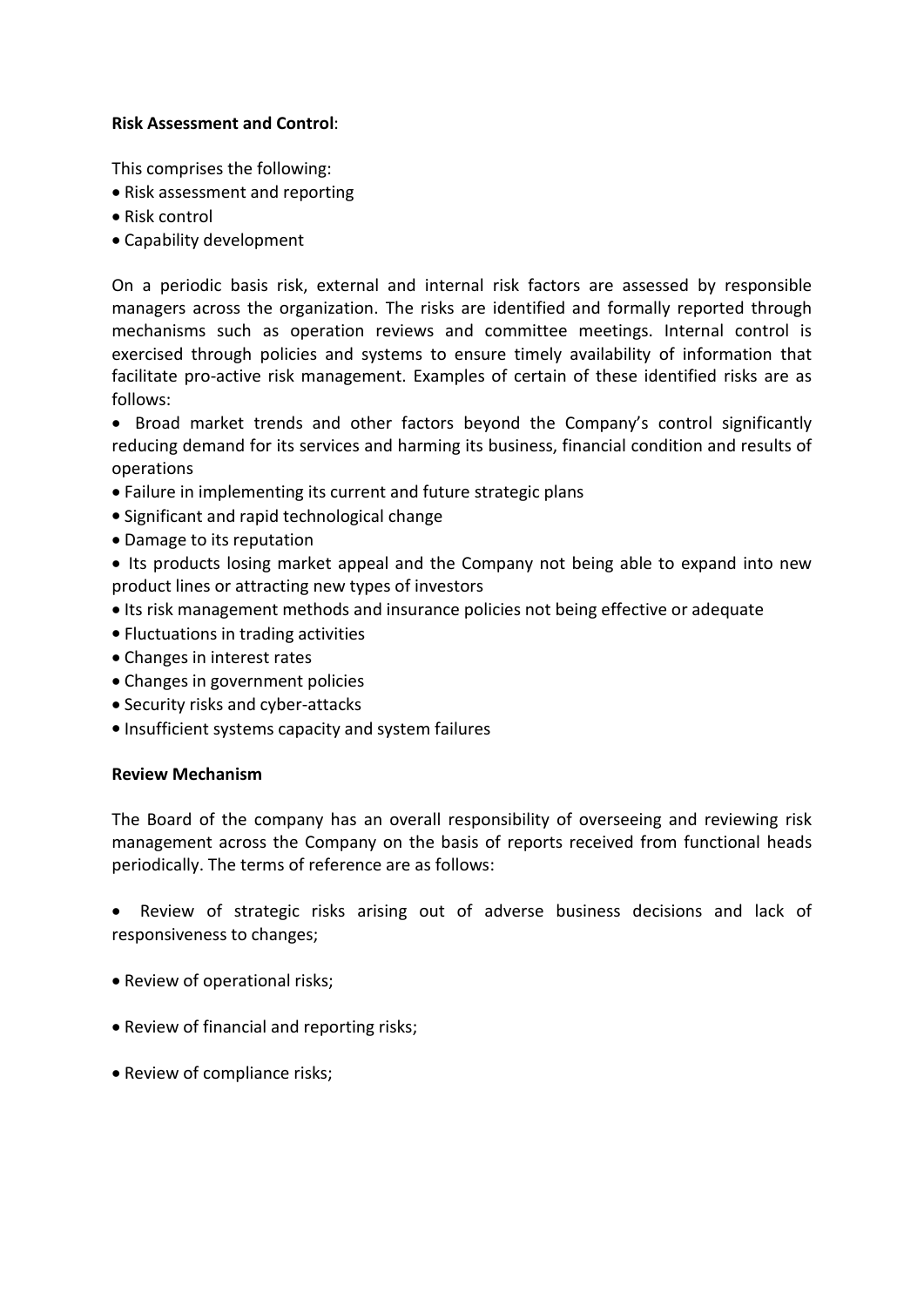- Risk Assessment and Control:<br>This comprises the following:<br>• Risk assessment and reporting<br>• Risk control<br>• Canability development
- 
- 

Risk Assessment and Control:<br>
This comprises the following:<br>
• Risk assessment and reporting<br>
• Risk control<br>
• Capability development<br>
On a periodic basis risk, external and internal risk factors are assessed by responsi<br> Risk Assessment and Control:<br>
This comprises the following:<br>
• Risk assessment and reporting<br>
• Risk control<br>
• Capability development<br>
On a periodic basis risk, external and internal risk factors are assessed by<br>
managers Risk Assessment and Control:<br>
This comprises the following:<br>
• Risk control<br>
• Capability development<br>
On a periodic basis risk, external and internal risk factors are assessed by responsible<br>
managers across the organizat **Risk Assessment and Control:**<br>
This comprises the following:<br>
• Risk assessment and reporting<br>
• Risk control<br>
• Capability development<br>
On a periodic basis risk, external and internal risk factors are assessed by respons **Risk Assessment and Control:**<br> **This comprises the following:**<br> **e** Risk assessment and reporting<br> **e** Risk control<br> **e** Capability development<br>
On a periodic basis risk, external and internal risk factors are assessed by **Risk Assessment and Control:**<br> **This comprises the following:**<br>
• Risk assessment and reporting<br>
• Risk control<br>
• Capability development<br>
On a periodic basis risk, external and internal risk factors are assessed by respo **Risk Assessment and Control:**<br> **This comprises the following:**<br>
• Risk assessment and reporting<br>
• Risk control<br>
• Capability development<br>
On a periodic basis risk, external and internal risk factors are assessed by respo follows: Risk Assessment and Control:<br>
This comprises the following:<br>
• Risk assessment and reporting<br>
• Risk control<br>
• Capability development<br>
On a periodic basis risk, external and internal risk factors are assessed by responsib **Risk Assessment and Control:**<br> **This comprises the following:**<br> **CRIMS assessment and reporting**<br> **e** Risk control<br> **o** a periodic basis risk, external and internal risk factors are assessed by responsible<br>
managers acros **Risk Assessment and Control:**<br>This comprises the following:<br> **Faisk assessment and reporting**<br> **ERISK CONTOTES**<br> **CONTOTES**<br> **CONTOTES**<br> **CONTOTES**<br> **CONTOTES**<br> **CONTOTES**<br> **CONTOTES**<br> **CONTOTES**<br> **CONTOTES**<br> **CONTOTES**<br> This comprises the following:<br>
• Risk assessment and reporting<br>
• Risk control<br>
• Capability development<br>
• Capability development<br>
On a periodic basis risk, external and internal risk factors are assessed by re<br>
managers **Example 10**<br> **Example 10**<br> **Example 10**<br> **Example Capability development**<br> **On a periodic basis risk, external and internal risk factors are assessed by responsible**<br> **On a periodic basis risk, external and internal risk FROM SET THE CONDUCT CONDUCT CONDUCT CONDUCT CONDUCT CONDUCT CONDUCT CONDUCT CONDUCT CONDUCT THE SET INTERENT CONDUCT THE SET IN THE SET IN THE SET IN THE SET IN THE SET IN THE SET IN THE SET IN THE SET IN THE SET IN THE** Fluctuative Cocopium of Cocopium Cocopium Cocopium and priorities are identified and formally reported through<br>mennagers across the organization. The risks are identified and formally reported through<br>mechanisms such as op

operations follows:<br>
• Broad market trends and other factors beyond the Company's coreducing demand for its services and harming its business, financial condit<br>
operations<br>
• Failure in implementing its current and future strategic p

- 
- 
- 

- 
- 
- 
- 
- 
- 

reducing demand for its services and harming its business, financial condition and results of<br>operations<br>  $\bullet$  Failure in implementing its current and future strategic plans<br>  $\bullet$  Significant and rapid technological change management across the Company on the basis of reports received from functions<br>
• Significant and rapid technological change<br>
• Damage to its reputation<br>
• Damage to its reputation<br>
• Its products losing market appeal and t **Failure in implementing its current and future strategic plans**<br> **• Significant and rapid technological change**<br> **• Damage to is reputation** • Its products losing market appeal and the Company not being able to expand int • Exponsiveness to changes; **Review of operations** and the Company not being able to expand into new product lines or attracting new types of investors<br>**•** Its risk management methods and insurance policies not being effec

- 
- 
-